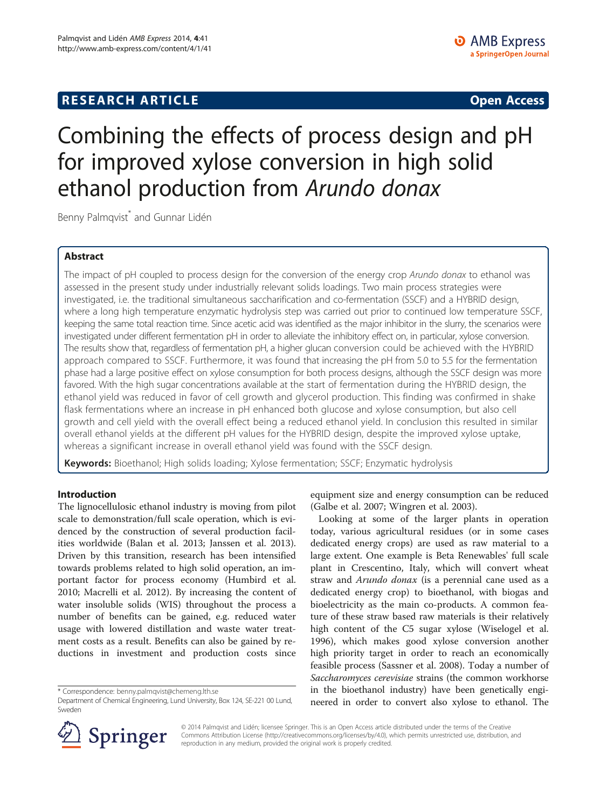# **RESEARCH ARTICLE Example 2014 CONSIDERING CONSIDERING CONSIDERING CONSIDERING CONSIDERING CONSIDERING CONSIDERING CONSIDERING CONSIDERING CONSIDERING CONSIDERING CONSIDERING CONSIDERING CONSIDERING CONSIDERING CONSIDE**

# Combining the effects of process design and pH for improved xylose conversion in high solid ethanol production from Arundo donax

Benny Palmqvist<sup>\*</sup> and Gunnar Lidén

# Abstract

The impact of pH coupled to process design for the conversion of the energy crop Arundo donax to ethanol was assessed in the present study under industrially relevant solids loadings. Two main process strategies were investigated, i.e. the traditional simultaneous saccharification and co-fermentation (SSCF) and a HYBRID design, where a long high temperature enzymatic hydrolysis step was carried out prior to continued low temperature SSCF, keeping the same total reaction time. Since acetic acid was identified as the major inhibitor in the slurry, the scenarios were investigated under different fermentation pH in order to alleviate the inhibitory effect on, in particular, xylose conversion. The results show that, regardless of fermentation pH, a higher glucan conversion could be achieved with the HYBRID approach compared to SSCF. Furthermore, it was found that increasing the pH from 5.0 to 5.5 for the fermentation phase had a large positive effect on xylose consumption for both process designs, although the SSCF design was more favored. With the high sugar concentrations available at the start of fermentation during the HYBRID design, the ethanol yield was reduced in favor of cell growth and glycerol production. This finding was confirmed in shake flask fermentations where an increase in pH enhanced both glucose and xylose consumption, but also cell growth and cell yield with the overall effect being a reduced ethanol yield. In conclusion this resulted in similar overall ethanol yields at the different pH values for the HYBRID design, despite the improved xylose uptake, whereas a significant increase in overall ethanol yield was found with the SSCF design.

Keywords: Bioethanol; High solids loading; Xylose fermentation; SSCF; Enzymatic hydrolysis

# Introduction

The lignocellulosic ethanol industry is moving from pilot scale to demonstration/full scale operation, which is evidenced by the construction of several production facilities worldwide (Balan et al. [2013](#page-7-0); Janssen et al. [2013](#page-8-0)). Driven by this transition, research has been intensified towards problems related to high solid operation, an important factor for process economy (Humbird et al. [2010](#page-8-0); Macrelli et al. [2012](#page-8-0)). By increasing the content of water insoluble solids (WIS) throughout the process a number of benefits can be gained, e.g. reduced water usage with lowered distillation and waste water treatment costs as a result. Benefits can also be gained by reductions in investment and production costs since

equipment size and energy consumption can be reduced (Galbe et al. [2007;](#page-8-0) Wingren et al. [2003](#page-8-0)).

Looking at some of the larger plants in operation today, various agricultural residues (or in some cases dedicated energy crops) are used as raw material to a large extent. One example is Beta Renewables' full scale plant in Crescentino, Italy, which will convert wheat straw and Arundo donax (is a perennial cane used as a dedicated energy crop) to bioethanol, with biogas and bioelectricity as the main co-products. A common feature of these straw based raw materials is their relatively high content of the C5 sugar xylose (Wiselogel et al. [1996](#page-8-0)), which makes good xylose conversion another high priority target in order to reach an economically feasible process (Sassner et al. [2008\)](#page-8-0). Today a number of Saccharomyces cerevisiae strains (the common workhorse in the bioethanol industry) have been genetically engineered in order to convert also xylose to ethanol. The



© 2014 Palmqvist and Lidén; licensee Springer. This is an Open Access article distributed under the terms of the Creative Commons Attribution License (<http://creativecommons.org/licenses/by/4.0>), which permits unrestricted use, distribution, and reproduction in any medium, provided the original work is properly credited.

<sup>\*</sup> Correspondence: [benny.palmqvist@chemeng.lth.se](mailto:benny.palmqvist@chemeng.lth.se)

Department of Chemical Engineering, Lund University, Box 124, SE-221 00 Lund, Sweden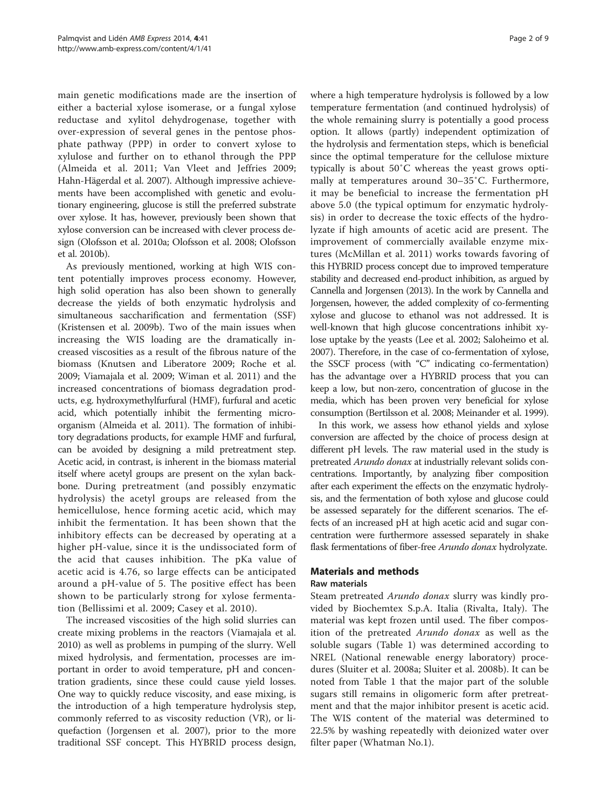main genetic modifications made are the insertion of either a bacterial xylose isomerase, or a fungal xylose reductase and xylitol dehydrogenase, together with over-expression of several genes in the pentose phosphate pathway (PPP) in order to convert xylose to xylulose and further on to ethanol through the PPP (Almeida et al. [2011;](#page-7-0) Van Vleet and Jeffries [2009](#page-8-0); Hahn-Hägerdal et al. [2007](#page-8-0)). Although impressive achievements have been accomplished with genetic and evolutionary engineering, glucose is still the preferred substrate over xylose. It has, however, previously been shown that xylose conversion can be increased with clever process design (Olofsson et al. [2010a;](#page-8-0) Olofsson et al. [2008;](#page-8-0) Olofsson et al. [2010b\)](#page-8-0).

As previously mentioned, working at high WIS content potentially improves process economy. However, high solid operation has also been shown to generally decrease the yields of both enzymatic hydrolysis and simultaneous saccharification and fermentation (SSF) (Kristensen et al. [2009b](#page-8-0)). Two of the main issues when increasing the WIS loading are the dramatically increased viscosities as a result of the fibrous nature of the biomass (Knutsen and Liberatore [2009](#page-8-0); Roche et al. [2009](#page-8-0); Viamajala et al. [2009](#page-8-0); Wiman et al. [2011](#page-8-0)) and the increased concentrations of biomass degradation products, e.g. hydroxymethylfurfural (HMF), furfural and acetic acid, which potentially inhibit the fermenting microorganism (Almeida et al. [2011\)](#page-7-0). The formation of inhibitory degradations products, for example HMF and furfural, can be avoided by designing a mild pretreatment step. Acetic acid, in contrast, is inherent in the biomass material itself where acetyl groups are present on the xylan backbone. During pretreatment (and possibly enzymatic hydrolysis) the acetyl groups are released from the hemicellulose, hence forming acetic acid, which may inhibit the fermentation. It has been shown that the inhibitory effects can be decreased by operating at a higher pH-value, since it is the undissociated form of the acid that causes inhibition. The pKa value of acetic acid is 4.76, so large effects can be anticipated around a pH-value of 5. The positive effect has been shown to be particularly strong for xylose fermentation (Bellissimi et al. [2009;](#page-7-0) Casey et al. [2010\)](#page-8-0).

The increased viscosities of the high solid slurries can create mixing problems in the reactors (Viamajala et al. [2010](#page-8-0)) as well as problems in pumping of the slurry. Well mixed hydrolysis, and fermentation, processes are important in order to avoid temperature, pH and concentration gradients, since these could cause yield losses. One way to quickly reduce viscosity, and ease mixing, is the introduction of a high temperature hydrolysis step, commonly referred to as viscosity reduction (VR), or liquefaction (Jorgensen et al. [2007\)](#page-8-0), prior to the more traditional SSF concept. This HYBRID process design,

where a high temperature hydrolysis is followed by a low temperature fermentation (and continued hydrolysis) of the whole remaining slurry is potentially a good process option. It allows (partly) independent optimization of the hydrolysis and fermentation steps, which is beneficial since the optimal temperature for the cellulose mixture typically is about 50˚C whereas the yeast grows optimally at temperatures around 30–35˚C. Furthermore, it may be beneficial to increase the fermentation pH above 5.0 (the typical optimum for enzymatic hydrolysis) in order to decrease the toxic effects of the hydrolyzate if high amounts of acetic acid are present. The improvement of commercially available enzyme mixtures (McMillan et al. [2011](#page-8-0)) works towards favoring of this HYBRID process concept due to improved temperature stability and decreased end-product inhibition, as argued by Cannella and Jorgensen ([2013](#page-8-0)). In the work by Cannella and Jorgensen, however, the added complexity of co-fermenting xylose and glucose to ethanol was not addressed. It is well-known that high glucose concentrations inhibit xylose uptake by the yeasts (Lee et al. [2002](#page-8-0); Saloheimo et al. [2007\)](#page-8-0). Therefore, in the case of co-fermentation of xylose, the SSCF process (with "C" indicating co-fermentation) has the advantage over a HYBRID process that you can keep a low, but non-zero, concentration of glucose in the media, which has been proven very beneficial for xylose consumption (Bertilsson et al. [2008](#page-8-0); Meinander et al. [1999](#page-8-0)).

In this work, we assess how ethanol yields and xylose conversion are affected by the choice of process design at different pH levels. The raw material used in the study is pretreated Arundo donax at industrially relevant solids concentrations. Importantly, by analyzing fiber composition after each experiment the effects on the enzymatic hydrolysis, and the fermentation of both xylose and glucose could be assessed separately for the different scenarios. The effects of an increased pH at high acetic acid and sugar concentration were furthermore assessed separately in shake flask fermentations of fiber-free Arundo donax hydrolyzate.

# Materials and methods Raw materials

Steam pretreated *Arundo donax* slurry was kindly provided by Biochemtex S.p.A. Italia (Rivalta, Italy). The material was kept frozen until used. The fiber composition of the pretreated Arundo donax as well as the soluble sugars (Table [1](#page-2-0)) was determined according to NREL (National renewable energy laboratory) procedures (Sluiter et al. [2008a;](#page-8-0) Sluiter et al. [2008b](#page-8-0)). It can be noted from Table [1](#page-2-0) that the major part of the soluble sugars still remains in oligomeric form after pretreatment and that the major inhibitor present is acetic acid. The WIS content of the material was determined to 22.5% by washing repeatedly with deionized water over filter paper (Whatman No.1).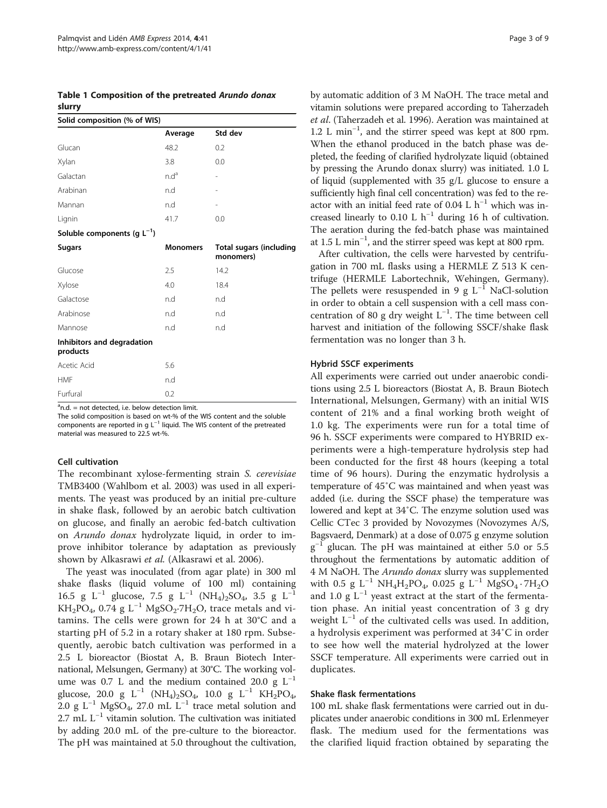<span id="page-2-0"></span>

|        | Table 1 Composition of the pretreated Arundo donax |  |  |
|--------|----------------------------------------------------|--|--|
| slurry |                                                    |  |  |

| Solid composition (% of WIS)           |                  |                                             |  |  |  |
|----------------------------------------|------------------|---------------------------------------------|--|--|--|
|                                        | Average          | Std dev                                     |  |  |  |
| Glucan                                 | 48.2             | 0.2                                         |  |  |  |
| Xylan                                  | 3.8              | 0.0                                         |  |  |  |
| Galactan                               | n.d <sup>a</sup> |                                             |  |  |  |
| Arabinan                               | n.d              |                                             |  |  |  |
| Mannan                                 | n.d              |                                             |  |  |  |
| Lignin                                 | 41.7             | 0.0                                         |  |  |  |
| Soluble components (g $L^{-1}$ )       |                  |                                             |  |  |  |
| <b>Sugars</b>                          | <b>Monomers</b>  | <b>Total sugars (including</b><br>monomers) |  |  |  |
| Glucose                                | 2.5              | 14.2                                        |  |  |  |
| Xylose                                 | 4.0              | 18.4                                        |  |  |  |
| Galactose                              | n.d              | n.d                                         |  |  |  |
| Arabinose                              | n.d              | n.d                                         |  |  |  |
| Mannose                                | n.d              | n.d                                         |  |  |  |
| Inhibitors and degradation<br>products |                  |                                             |  |  |  |
| Acetic Acid                            | 5.6              |                                             |  |  |  |
| <b>HMF</b>                             | n.d              |                                             |  |  |  |
| Furfural                               | 0.2              |                                             |  |  |  |

<sup>a</sup>n.d. = not detected, i.e. below detection limit.

The solid composition is based on wt-% of the WIS content and the soluble components are reported in g L−<sup>1</sup> liquid. The WIS content of the pretreated material was measured to 22.5 wt-%.

# Cell cultivation

The recombinant xylose-fermenting strain S. cerevisiae TMB3400 (Wahlbom et al. [2003\)](#page-8-0) was used in all experiments. The yeast was produced by an initial pre-culture in shake flask, followed by an aerobic batch cultivation on glucose, and finally an aerobic fed-batch cultivation on Arundo donax hydrolyzate liquid, in order to improve inhibitor tolerance by adaptation as previously shown by Alkasrawi et al. (Alkasrawi et al. [2006\)](#page-7-0).

The yeast was inoculated (from agar plate) in 300 ml shake flasks (liquid volume of 100 ml) containing 16.5 g L−<sup>1</sup> glucose, 7.5 g L−<sup>1</sup> (NH4)2SO4, 3.5 g L<sup>−</sup><sup>1</sup> KH<sub>2</sub>PO<sub>4</sub>, 0.74 g L<sup>-1</sup> MgSO<sub>2</sub>⋅7H<sub>2</sub>O, trace metals and vitamins. The cells were grown for 24 h at 30°C and a starting pH of 5.2 in a rotary shaker at 180 rpm. Subsequently, aerobic batch cultivation was performed in a 2.5 L bioreactor (Biostat A, B. Braun Biotech International, Melsungen, Germany) at 30°C. The working volume was 0.7 L and the medium contained 20.0 g  $L^{-1}$ glucose, 20.0 g L<sup>-1</sup> (NH<sub>4</sub>)<sub>2</sub>SO<sub>4</sub>, 10.0 g L<sup>-1</sup> KH<sub>2</sub>PO<sub>4</sub>, 2.0 g L<sup>-1</sup> MgSO<sub>4</sub>, 27.0 mL L<sup>-1</sup> trace metal solution and 2.7 mL  $L^{-1}$  vitamin solution. The cultivation was initiated by adding 20.0 mL of the pre-culture to the bioreactor. The pH was maintained at 5.0 throughout the cultivation, by automatic addition of 3 M NaOH. The trace metal and vitamin solutions were prepared according to Taherzadeh et al. (Taherzadeh et al. [1996](#page-8-0)). Aeration was maintained at 1.2 L min−<sup>1</sup> , and the stirrer speed was kept at 800 rpm. When the ethanol produced in the batch phase was depleted, the feeding of clarified hydrolyzate liquid (obtained by pressing the Arundo donax slurry) was initiated. 1.0 L of liquid (supplemented with 35 g/L glucose to ensure a sufficiently high final cell concentration) was fed to the reactor with an initial feed rate of 0.04 L  $h^{-1}$  which was increased linearly to 0.10 L  $h^{-1}$  during 16 h of cultivation. The aeration during the fed-batch phase was maintained at 1.5 L min−<sup>1</sup> , and the stirrer speed was kept at 800 rpm.

After cultivation, the cells were harvested by centrifugation in 700 mL flasks using a HERMLE Z 513 K centrifuge (HERMLE Labortechnik, Wehingen, Germany). The pellets were resuspended in 9 g  $L^{-1}$  NaCl-solution in order to obtain a cell suspension with a cell mass concentration of 80 g dry weight L−<sup>1</sup> . The time between cell harvest and initiation of the following SSCF/shake flask fermentation was no longer than 3 h.

## Hybrid SSCF experiments

All experiments were carried out under anaerobic conditions using 2.5 L bioreactors (Biostat A, B. Braun Biotech International, Melsungen, Germany) with an initial WIS content of 21% and a final working broth weight of 1.0 kg. The experiments were run for a total time of 96 h. SSCF experiments were compared to HYBRID experiments were a high-temperature hydrolysis step had been conducted for the first 48 hours (keeping a total time of 96 hours). During the enzymatic hydrolysis a temperature of 45˚C was maintained and when yeast was added (i.e. during the SSCF phase) the temperature was lowered and kept at 34˚C. The enzyme solution used was Cellic CTec 3 provided by Novozymes (Novozymes A/S, Bagsvaerd, Denmark) at a dose of 0.075 g enzyme solution  $g^{-1}$  glucan. The pH was maintained at either 5.0 or 5.5 throughout the fermentations by automatic addition of 4 M NaOH. The Arundo donax slurry was supplemented with 0.5 g L<sup>-1</sup> NH<sub>4</sub>H<sub>2</sub>PO<sub>4</sub>, 0.025 g L<sup>-1</sup> MgSO<sub>4</sub>.7H<sub>2</sub>O and 1.0 g  $L^{-1}$  yeast extract at the start of the fermentation phase. An initial yeast concentration of 3 g dry weight  $L^{-1}$  of the cultivated cells was used. In addition, a hydrolysis experiment was performed at 34˚C in order to see how well the material hydrolyzed at the lower SSCF temperature. All experiments were carried out in duplicates.

# Shake flask fermentations

100 mL shake flask fermentations were carried out in duplicates under anaerobic conditions in 300 mL Erlenmeyer flask. The medium used for the fermentations was the clarified liquid fraction obtained by separating the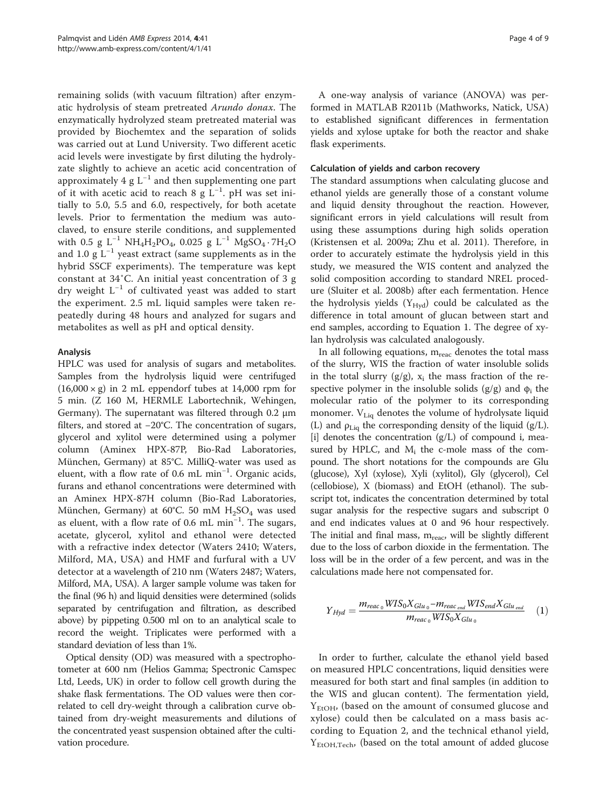remaining solids (with vacuum filtration) after enzymatic hydrolysis of steam pretreated Arundo donax. The enzymatically hydrolyzed steam pretreated material was provided by Biochemtex and the separation of solids was carried out at Lund University. Two different acetic acid levels were investigate by first diluting the hydrolyzate slightly to achieve an acetic acid concentration of approximately 4  $g L^{-1}$  and then supplementing one part of it with acetic acid to reach 8  $g$  L<sup>-1</sup>. pH was set initially to 5.0, 5.5 and 6.0, respectively, for both acetate levels. Prior to fermentation the medium was autoclaved, to ensure sterile conditions, and supplemented with 0.5 g L<sup>-1</sup> NH<sub>4</sub>H<sub>2</sub>PO<sub>4</sub>, 0.025 g L<sup>-1</sup> MgSO<sub>4</sub> · 7H<sub>2</sub>O and 1.0 g  $L^{-1}$  yeast extract (same supplements as in the hybrid SSCF experiments). The temperature was kept constant at 34˚C. An initial yeast concentration of 3 g dry weight L−<sup>1</sup> of cultivated yeast was added to start the experiment. 2.5 mL liquid samples were taken repeatedly during 48 hours and analyzed for sugars and metabolites as well as pH and optical density.

# Analysis

HPLC was used for analysis of sugars and metabolites. Samples from the hydrolysis liquid were centrifuged  $(16,000 \times g)$  in 2 mL eppendorf tubes at 14,000 rpm for 5 min. (Z 160 M, HERMLE Labortechnik, Wehingen, Germany). The supernatant was filtered through 0.2 μm filters, and stored at −20°C. The concentration of sugars, glycerol and xylitol were determined using a polymer column (Aminex HPX-87P, Bio-Rad Laboratories, München, Germany) at 85°C. MilliQ-water was used as eluent, with a flow rate of 0.6 mL min−<sup>1</sup> . Organic acids, furans and ethanol concentrations were determined with an Aminex HPX-87H column (Bio-Rad Laboratories, München, Germany) at 60°C. 50 mM  $H_2SO_4$  was used as eluent, with a flow rate of 0.6 mL min−<sup>1</sup> . The sugars, acetate, glycerol, xylitol and ethanol were detected with a refractive index detector (Waters 2410; Waters, Milford, MA, USA) and HMF and furfural with a UV detector at a wavelength of 210 nm (Waters 2487; Waters, Milford, MA, USA). A larger sample volume was taken for the final (96 h) and liquid densities were determined (solids separated by centrifugation and filtration, as described above) by pippeting 0.500 ml on to an analytical scale to record the weight. Triplicates were performed with a standard deviation of less than 1%.

Optical density (OD) was measured with a spectrophotometer at 600 nm (Helios Gamma; Spectronic Camspec Ltd, Leeds, UK) in order to follow cell growth during the shake flask fermentations. The OD values were then correlated to cell dry-weight through a calibration curve obtained from dry-weight measurements and dilutions of the concentrated yeast suspension obtained after the cultivation procedure.

A one-way analysis of variance (ANOVA) was performed in MATLAB R2011b (Mathworks, Natick, USA) to established significant differences in fermentation yields and xylose uptake for both the reactor and shake flask experiments.

# Calculation of yields and carbon recovery

The standard assumptions when calculating glucose and ethanol yields are generally those of a constant volume and liquid density throughout the reaction. However, significant errors in yield calculations will result from using these assumptions during high solids operation (Kristensen et al. [2009a;](#page-8-0) Zhu et al. [2011\)](#page-8-0). Therefore, in order to accurately estimate the hydrolysis yield in this study, we measured the WIS content and analyzed the solid composition according to standard NREL procedure (Sluiter et al. [2008b](#page-8-0)) after each fermentation. Hence the hydrolysis yields  $(Y_{Hvd})$  could be calculated as the difference in total amount of glucan between start and end samples, according to Equation 1. The degree of xylan hydrolysis was calculated analogously.

In all following equations,  $m_{reac}$  denotes the total mass of the slurry, WIS the fraction of water insoluble solids in the total slurry  $(g/g)$ ,  $x_i$  the mass fraction of the respective polymer in the insoluble solids (g/g) and  $\phi_i$  the molecular ratio of the polymer to its corresponding monomer.  $V_{\text{Lig}}$  denotes the volume of hydrolysate liquid (L) and  $\rho_{\text{Liq}}$  the corresponding density of the liquid (g/L). [i] denotes the concentration  $(g/L)$  of compound i, measured by HPLC, and  $M_i$  the c-mole mass of the compound. The short notations for the compounds are Glu (glucose), Xyl (xylose), Xyli (xylitol), Gly (glycerol), Cel (cellobiose), X (biomass) and EtOH (ethanol). The subscript tot, indicates the concentration determined by total sugar analysis for the respective sugars and subscript 0 and end indicates values at 0 and 96 hour respectively. The initial and final mass,  $m_{reac}$ , will be slightly different due to the loss of carbon dioxide in the fermentation. The loss will be in the order of a few percent, and was in the calculations made here not compensated for.

$$
Y_{\text{Hyd}} = \frac{m_{\text{reac}_0} W I S_0 X_{\text{Glu}_0} - m_{\text{reac}_{\text{end}}} W I S_{\text{end}} X_{\text{Glu}_{\text{end}}} \frac{m_{\text{reac}_0} W I S_{\text{Glu}_0}}{m_{\text{reac}_0} W I S_0 X_{\text{Glu}_0}}
$$
 (1)

In order to further, calculate the ethanol yield based on measured HPLC concentrations, liquid densities were measured for both start and final samples (in addition to the WIS and glucan content). The fermentation yield,  $Y_{EtOH}$ , (based on the amount of consumed glucose and xylose) could then be calculated on a mass basis according to Equation [2,](#page-4-0) and the technical ethanol yield,  $Y_{EtOH,Tech}$ , (based on the total amount of added glucose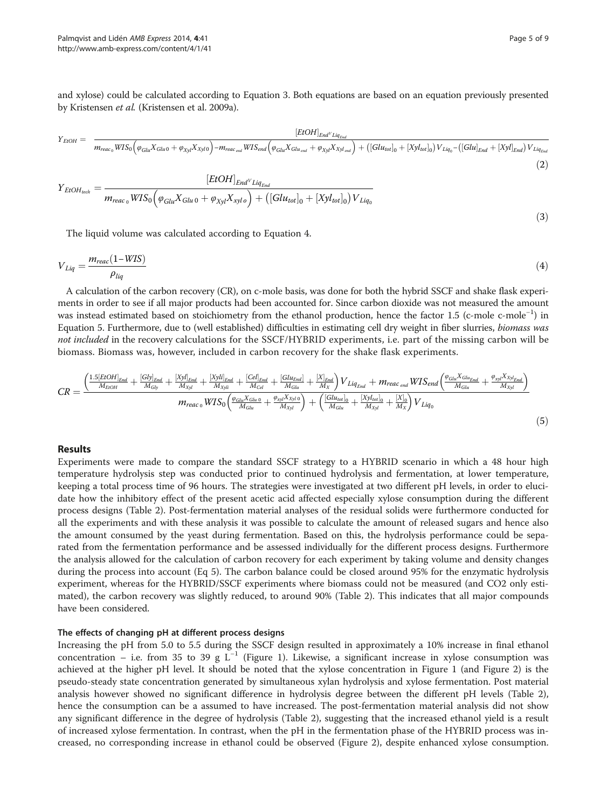<span id="page-4-0"></span>and xylose) could be calculated according to Equation 3. Both equations are based on an equation previously presented by Kristensen et al. (Kristensen et al. [2009a](#page-8-0)).

$$
Y_{EtOH} = \frac{[EtOH]_{End}V_{Liq_{End}}}{m_{reac_0}WIS_0(\varphi_{Glu}X_{Glu0} + \varphi_{Xyl}X_{Xyl0}) - m_{reac_{end}}WIS_{end}(\varphi_{Glu}X_{Glu_{end}} + \varphi_{Xyl}X_{Xyl_{end}}) + ([Glu_{tot}]_0 + [Xyl_{tot}]_0)V_{Liq_0} - ([Glu]_{End} + [Xyl]_{End})V_{Liq_{End}}
$$
\n(2)

$$
Y_{EtOH_{tech}} = \frac{[EtOH]_{End}V_{Liq_{End}}}{m_{reac_0}WIS_0(\varphi_{Glu}X_{Glu\,0} + \varphi_{Xyl}X_{xylo}) + ([Glu_{tot}]_0 + [Xyl_{tot}]_0)V_{Liq_0}}
$$

The liquid volume was calculated according to Equation 4.

$$
V_{Liq} = \frac{m_{reac}(1-WIS)}{\rho_{liq}}\tag{4}
$$

A calculation of the carbon recovery (CR), on c-mole basis, was done for both the hybrid SSCF and shake flask experiments in order to see if all major products had been accounted for. Since carbon dioxide was not measured the amount was instead estimated based on stoichiometry from the ethanol production, hence the factor 1.5 (c-mole c-mole<sup>-1</sup>) in Equation 5. Furthermore, due to (well established) difficulties in estimating cell dry weight in fiber slurries, biomass was not included in the recovery calculations for the SSCF/HYBRID experiments, i.e. part of the missing carbon will be biomass. Biomass was, however, included in carbon recovery for the shake flask experiments.

$$
CR = \frac{\left(\frac{1.5[EtOH]_{End}}{M_{E0H}} + \frac{[Gly]_{End}}{M_{Gly}} + \frac{[Xyl]_{End}}{M_{Xyl}} + \frac{[Gyl]_{End}}{M_{Xyl}} + \frac{[Gell]_{End}}{M_{Glu}} + \frac{[Glu_{End}]}{M_{Glu}} + \frac{[X]_{Eud}}{M_{Glu}}\right) V_{Liq_{End}} + m_{reac_{end}} WIS_{end} \left(\frac{\varphi_{Glu} X_{Glu_{H}}}{M_{Glu}} + \frac{\varphi_{xyl} X_{Xyl_{H}}}{M_{Xyl}}\right)}{m_{reac_{0}} WIS_{0} \left(\frac{\varphi_{Glu} X_{Glu_{0}}}{M_{Glu}} + \frac{\varphi_{xyl} X_{Xyl_{0}}}{M_{Xyl}}\right) + \left(\frac{[Glu_{tot}]_{0}}{M_{Glu}} + \frac{[Xy]_{tot}]_{0}}{M_{Xyl}} + \frac{[X]_{0}}{M_{X}}\right) V_{Liq_{0}}}
$$
\n
$$
(5)
$$

# Results

Experiments were made to compare the standard SSCF strategy to a HYBRID scenario in which a 48 hour high temperature hydrolysis step was conducted prior to continued hydrolysis and fermentation, at lower temperature, keeping a total process time of 96 hours. The strategies were investigated at two different pH levels, in order to elucidate how the inhibitory effect of the present acetic acid affected especially xylose consumption during the different process designs (Table [2](#page-5-0)). Post-fermentation material analyses of the residual solids were furthermore conducted for all the experiments and with these analysis it was possible to calculate the amount of released sugars and hence also the amount consumed by the yeast during fermentation. Based on this, the hydrolysis performance could be separated from the fermentation performance and be assessed individually for the different process designs. Furthermore the analysis allowed for the calculation of carbon recovery for each experiment by taking volume and density changes during the process into account (Eq 5). The carbon balance could be closed around 95% for the enzymatic hydrolysis experiment, whereas for the HYBRID/SSCF experiments where biomass could not be measured (and CO2 only estimated), the carbon recovery was slightly reduced, to around 90% (Table [2](#page-5-0)). This indicates that all major compounds have been considered.

# The effects of changing pH at different process designs

Increasing the pH from 5.0 to 5.5 during the SSCF design resulted in approximately a 10% increase in final ethanol concentration – i.e. from 35 to 39 g L<sup>-1</sup> (Figure [1](#page-5-0)). Likewise, a significant increase in xylose consumption was achieved at the higher pH level. It should be noted that the xylose concentration in Figure [1](#page-5-0) (and Figure [2\)](#page-6-0) is the pseudo-steady state concentration generated by simultaneous xylan hydrolysis and xylose fermentation. Post material analysis however showed no significant difference in hydrolysis degree between the different pH levels (Table [2](#page-5-0)), hence the consumption can be a assumed to have increased. The post-fermentation material analysis did not show any significant difference in the degree of hydrolysis (Table [2](#page-5-0)), suggesting that the increased ethanol yield is a result of increased xylose fermentation. In contrast, when the pH in the fermentation phase of the HYBRID process was increased, no corresponding increase in ethanol could be observed (Figure [2\)](#page-6-0), despite enhanced xylose consumption.

 $(3)$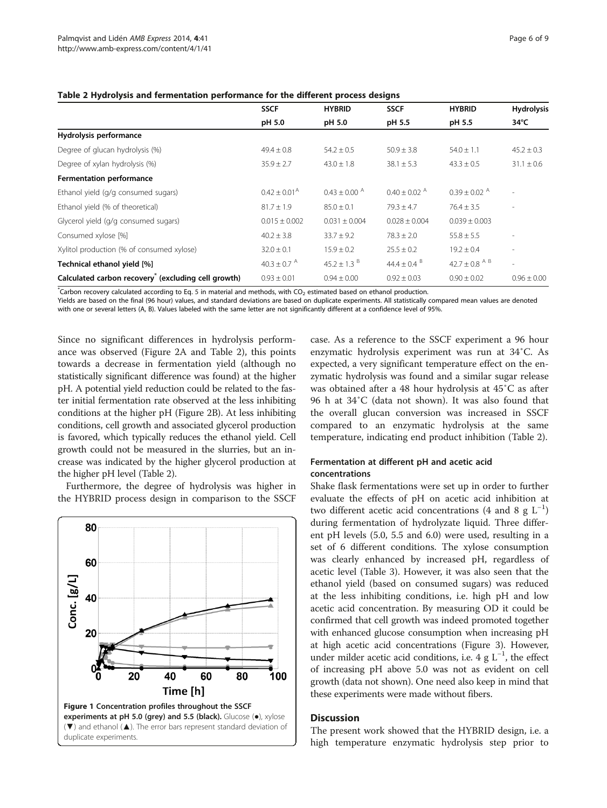|                                                                 | <b>SSCF</b>                 | <b>HYBRID</b>               | <b>SSCF</b>                  | <b>HYBRID</b>                 | <b>Hydrolysis</b>        |
|-----------------------------------------------------------------|-----------------------------|-----------------------------|------------------------------|-------------------------------|--------------------------|
|                                                                 | pH 5.0                      | pH 5.0                      | pH 5.5                       | pH 5.5                        | $34^{\circ}$ C           |
| Hydrolysis performance                                          |                             |                             |                              |                               |                          |
| Degree of glucan hydrolysis (%)                                 | $49.4 + 0.8$                | $54.2 \pm 0.5$              | $50.9 \pm 3.8$               | $54.0 \pm 1.1$                | $45.2 \pm 0.3$           |
| Degree of xylan hydrolysis (%)                                  | $35.9 \pm 2.7$              | $43.0 \pm 1.8$              | $38.1 \pm 5.3$               | $43.3 \pm 0.5$                | $31.1 \pm 0.6$           |
| <b>Fermentation performance</b>                                 |                             |                             |                              |                               |                          |
| Ethanol yield (g/g consumed sugars)                             | $0.42 + 0.01A$              | $0.43 + 0.00^{\text{A}}$    | $0.40 \pm 0.02$ <sup>A</sup> | $0.39 + 0.02$ <sup>A</sup>    | $\overline{\phantom{a}}$ |
| Ethanol yield (% of theoretical)                                | $81.7 \pm 1.9$              | $85.0 \pm 0.1$              | $79.3 \pm 4.7$               | $76.4 \pm 3.5$                |                          |
| Glycerol yield (q/g consumed sugars)                            | $0.015 \pm 0.002$           | $0.031 \pm 0.004$           | $0.028 + 0.004$              | $0.039 + 0.003$               |                          |
| Consumed xylose [%]                                             | $40.2 + 3.8$                | $33.7 + 9.2$                | $78.3 + 2.0$                 | $55.8 + 5.5$                  |                          |
| Xylitol production (% of consumed xylose)                       | $32.0 \pm 0.1$              | $15.9 \pm 0.2$              | $25.5 \pm 0.2$               | $19.2 \pm 0.4$                |                          |
| Technical ethanol yield [%]                                     | $40.3 \pm 0.7$ <sup>A</sup> | $45.2 \pm 1.3$ <sup>B</sup> | 44.4 $\pm$ 0.4 $^{\circ}$    | $42.7 \pm 0.8$ <sup>A B</sup> | $\overline{\phantom{a}}$ |
| Calculated carbon recovery <sup>*</sup> (excluding cell growth) | $0.93 \pm 0.01$             | $0.94 \pm 0.00$             | $0.92 \pm 0.03$              | $0.90 \pm 0.02$               | $0.96 \pm 0.00$          |

# <span id="page-5-0"></span>Table 2 Hydrolysis and fermentation performance for the different process designs

\* Carbon recovery calculated according to Eq. [5](#page-4-0) in material and methods, with CO2 estimated based on ethanol production.

Yields are based on the final (96 hour) values, and standard deviations are based on duplicate experiments. All statistically compared mean values are denoted with one or several letters (A, B). Values labeled with the same letter are not significantly different at a confidence level of 95%.

Since no significant differences in hydrolysis performance was observed (Figure [2](#page-6-0)A and Table 2), this points towards a decrease in fermentation yield (although no statistically significant difference was found) at the higher pH. A potential yield reduction could be related to the faster initial fermentation rate observed at the less inhibiting conditions at the higher pH (Figure [2B](#page-6-0)). At less inhibiting conditions, cell growth and associated glycerol production is favored, which typically reduces the ethanol yield. Cell growth could not be measured in the slurries, but an increase was indicated by the higher glycerol production at the higher pH level (Table 2).

Furthermore, the degree of hydrolysis was higher in the HYBRID process design in comparison to the SSCF



case. As a reference to the SSCF experiment a 96 hour enzymatic hydrolysis experiment was run at 34˚C. As expected, a very significant temperature effect on the enzymatic hydrolysis was found and a similar sugar release was obtained after a 48 hour hydrolysis at 45˚C as after 96 h at 34˚C (data not shown). It was also found that the overall glucan conversion was increased in SSCF compared to an enzymatic hydrolysis at the same temperature, indicating end product inhibition (Table 2).

# Fermentation at different pH and acetic acid concentrations

Shake flask fermentations were set up in order to further evaluate the effects of pH on acetic acid inhibition at two different acetic acid concentrations (4 and 8  $g L^{-1}$ ) during fermentation of hydrolyzate liquid. Three different pH levels (5.0, 5.5 and 6.0) were used, resulting in a set of 6 different conditions. The xylose consumption was clearly enhanced by increased pH, regardless of acetic level (Table [3](#page-6-0)). However, it was also seen that the ethanol yield (based on consumed sugars) was reduced at the less inhibiting conditions, i.e. high pH and low acetic acid concentration. By measuring OD it could be confirmed that cell growth was indeed promoted together with enhanced glucose consumption when increasing pH at high acetic acid concentrations (Figure [3](#page-7-0)). However, under milder acetic acid conditions, i.e.  $4 \text{ g L}^{-1}$ , the effect of increasing pH above 5.0 was not as evident on cell growth (data not shown). One need also keep in mind that these experiments were made without fibers.

# **Discussion**

The present work showed that the HYBRID design, i.e. a high temperature enzymatic hydrolysis step prior to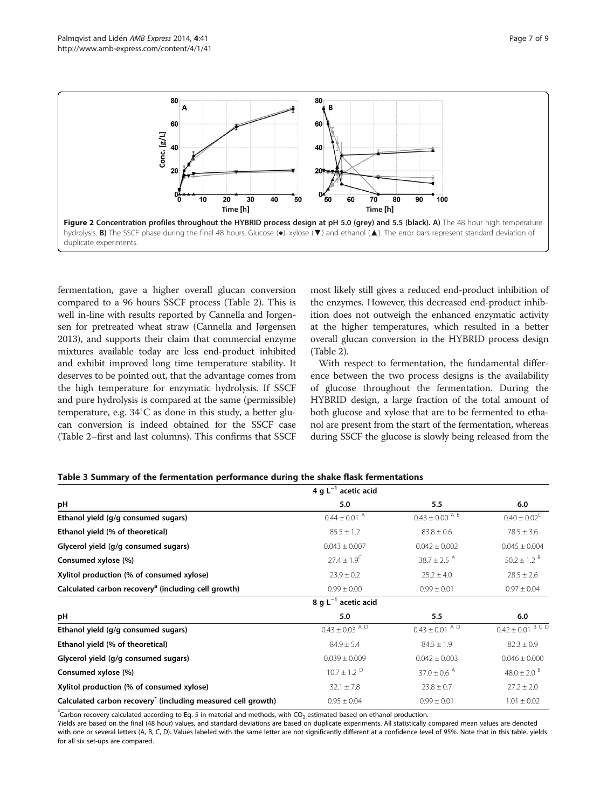

<span id="page-6-0"></span>

fermentation, gave a higher overall glucan conversion compared to a 96 hours SSCF process (Table [2\)](#page-5-0). This is well in-line with results reported by Cannella and Jorgensen for pretreated wheat straw (Cannella and Jørgensen [2013\)](#page-8-0), and supports their claim that commercial enzyme mixtures available today are less end-product inhibited and exhibit improved long time temperature stability. It deserves to be pointed out, that the advantage comes from the high temperature for enzymatic hydrolysis. If SSCF and pure hydrolysis is compared at the same (permissible) temperature, e.g. 34˚C as done in this study, a better glucan conversion is indeed obtained for the SSCF case (Table [2](#page-5-0)–first and last columns). This confirms that SSCF most likely still gives a reduced end-product inhibition of the enzymes. However, this decreased end-product inhibition does not outweigh the enhanced enzymatic activity at the higher temperatures, which resulted in a better overall glucan conversion in the HYBRID process design (Table [2](#page-5-0)).

With respect to fermentation, the fundamental difference between the two process designs is the availability of glucose throughout the fermentation. During the HYBRID design, a large fraction of the total amount of both glucose and xylose that are to be fermented to ethanol are present from the start of the fermentation, whereas during SSCF the glucose is slowly being released from the

# Table 3 Summary of the fermentation performance during the shake flask fermentations

|                                                                          | 4 g $L^{-1}$ acetic acid       |                                |                                  |
|--------------------------------------------------------------------------|--------------------------------|--------------------------------|----------------------------------|
| рH                                                                       | 5.0                            | 5.5                            | 6.0                              |
| Ethanol yield (g/g consumed sugars)                                      | $0.44 \pm 0.01$ <sup>A</sup>   | $0.43 \pm 0.00$ <sup>A B</sup> | $0.40 \pm 0.02$ <sup>C</sup>     |
| Ethanol yield (% of theoretical)                                         | $85.5 \pm 1.2$                 | $83.8 \pm 0.6$                 | $78.5 \pm 3.6$                   |
| Glycerol yield (g/g consumed sugars)                                     | $0.043 \pm 0.007$              | $0.042 \pm 0.002$              | $0.045 \pm 0.004$                |
| Consumed xylose (%)                                                      | $27.4 + 1.9^C$                 | 38.7 ± 2.5 $^{A}$              | $50.2 \pm 1.2$ <sup>B</sup>      |
| Xylitol production (% of consumed xylose)                                | $23.9 \pm 0.2$                 | $25.2 \pm 4.0$                 | $28.5 \pm 2.6$                   |
| Calculated carbon recovery <sup>a</sup> (including cell growth)          | $0.99 \pm 0.00$                | $0.99 \pm 0.01$                | $0.97 \pm 0.04$                  |
|                                                                          | 8 g $L^{-1}$ acetic acid       |                                |                                  |
| рH                                                                       | 5.0                            | 5.5                            | 6.0                              |
| Ethanol yield (g/g consumed sugars)                                      | $0.43 \pm 0.03$ <sup>A D</sup> | $0.43 \pm 0.01$ <sup>A D</sup> | $0.42 \pm 0.01^{\sqrt{B\ C\ D}}$ |
| Ethanol yield (% of theoretical)                                         | $84.9 \pm 5.4$                 | $84.5 \pm 1.9$                 | $82.3 \pm 0.9$                   |
| Glycerol yield (g/g consumed sugars)                                     | $0.039 \pm 0.009$              | $0.042 \pm 0.003$              | $0.046 \pm 0.000$                |
| Consumed xylose (%)                                                      | $10.7 \pm 1.2$ <sup>D</sup>    | $37.0 \pm 0.6$ <sup>A</sup>    | $48.0 \pm 2.0$ <sup>B</sup>      |
| Xylitol production (% of consumed xylose)                                | $32.1 \pm 7.8$                 | $23.8 \pm 0.7$                 | $27.2 \pm 2.0$                   |
| Calculated carbon recovery <sup>*</sup> (including measured cell growth) | $0.95 \pm 0.04$                | $0.99 \pm 0.01$                | $1.01 \pm 0.02$                  |

 $*$ Carbon recovery calculated according to Eq. [5](#page-4-0) in material and methods, with CO<sub>2</sub> estimated based on ethanol production.

Yields are based on the final (48 hour) values, and standard deviations are based on duplicate experiments. All statistically compared mean values are denoted with one or several letters (A, B, C, D). Values labeled with the same letter are not significantly different at a confidence level of 95%. Note that in this table, yields for all six set-ups are compared.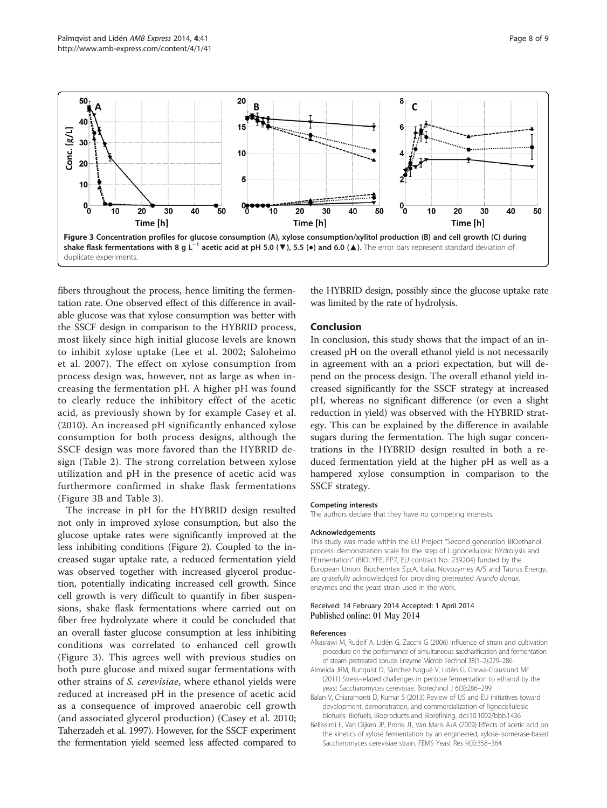<span id="page-7-0"></span>

fibers throughout the process, hence limiting the fermentation rate. One observed effect of this difference in available glucose was that xylose consumption was better with the SSCF design in comparison to the HYBRID process, most likely since high initial glucose levels are known to inhibit xylose uptake (Lee et al. [2002;](#page-8-0) Saloheimo et al. [2007\)](#page-8-0). The effect on xylose consumption from process design was, however, not as large as when increasing the fermentation pH. A higher pH was found to clearly reduce the inhibitory effect of the acetic acid, as previously shown by for example Casey et al. ([2010\)](#page-8-0). An increased pH significantly enhanced xylose consumption for both process designs, although the SSCF design was more favored than the HYBRID design (Table [2](#page-5-0)). The strong correlation between xylose utilization and pH in the presence of acetic acid was furthermore confirmed in shake flask fermentations (Figure 3B and Table [3\)](#page-6-0).

The increase in pH for the HYBRID design resulted not only in improved xylose consumption, but also the glucose uptake rates were significantly improved at the less inhibiting conditions (Figure [2\)](#page-6-0). Coupled to the increased sugar uptake rate, a reduced fermentation yield was observed together with increased glycerol production, potentially indicating increased cell growth. Since cell growth is very difficult to quantify in fiber suspensions, shake flask fermentations where carried out on fiber free hydrolyzate where it could be concluded that an overall faster glucose consumption at less inhibiting conditions was correlated to enhanced cell growth (Figure 3). This agrees well with previous studies on both pure glucose and mixed sugar fermentations with other strains of S. cerevisiae, where ethanol yields were reduced at increased pH in the presence of acetic acid as a consequence of improved anaerobic cell growth (and associated glycerol production) (Casey et al. [2010](#page-8-0); Taherzadeh et al. [1997](#page-8-0)). However, for the SSCF experiment the fermentation yield seemed less affected compared to

the HYBRID design, possibly since the glucose uptake rate was limited by the rate of hydrolysis.

# Conclusion

In conclusion, this study shows that the impact of an increased pH on the overall ethanol yield is not necessarily in agreement with an a priori expectation, but will depend on the process design. The overall ethanol yield increased significantly for the SSCF strategy at increased pH, whereas no significant difference (or even a slight reduction in yield) was observed with the HYBRID strategy. This can be explained by the difference in available sugars during the fermentation. The high sugar concentrations in the HYBRID design resulted in both a reduced fermentation yield at the higher pH as well as a hampered xylose consumption in comparison to the SSCF strategy.

#### Competing interests

The authors declare that they have no competing interests.

#### Acknowledgements

This study was made within the EU Project "Second generation BIOethanol process: demonstration scale for the step of Lignocellulosic hYdrolysis and FErmentation" (BIOLYFE, FP7, EU contract No. 239204) funded by the European Union. Biochemtex S.p.A. Italia, Novozymes A/S and Taurus Energy, are gratefully acknowledged for providing pretreated Arundo donax, enzymes and the yeast strain used in the work.

## Received: 14 February 2014 Accepted: 1 April 2014 Published online: 01 May 2014

#### References

- Alkasrawi M, Rudolf A, Lidén G, Zacchi G (2006) Influence of strain and cultivation procedure on the performance of simultaneous saccharification and fermentation of steam pretreated spruce. Enzyme Microb Technol 38(1–2):279–286
- Almeida JRM, Runquist D, Sànchez Nogué V, Lidén G, Gorwa-Grauslund MF (2011) Stress-related challenges in pentose fermentation to ethanol by the yeast Saccharomyces cerevisiae. Biotechnol J 6(3):286–299
- Balan V, Chiaramonti D, Kumar S (2013) Review of US and EU initiatives toward development, demonstration, and commercialization of lignocellulosic biofuels. Biofuels, Bioproducts and Biorefining. doi:10.1002/bbb.1436
- Bellissimi E, Van Dijken JP, Pronk JT, Van Maris AJA (2009) Effects of acetic acid on the kinetics of xylose fermentation by an engineered, xylose-isomerase-based Saccharomyces cerevisiae strain. FEMS Yeast Res 9(3):358–364